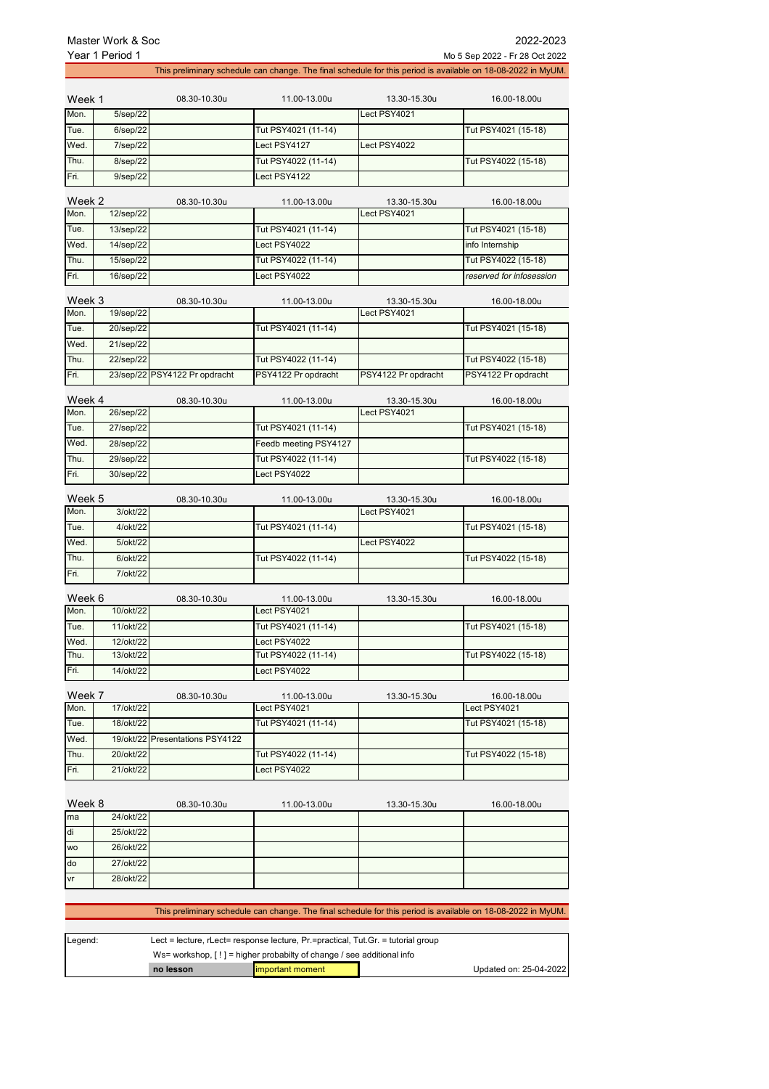| Year 1 Period 1<br>Mo 5 Sep 2022 - Fr 28 Oct 2022 |           |                               |                       |                              |                                                                                                              |
|---------------------------------------------------|-----------|-------------------------------|-----------------------|------------------------------|--------------------------------------------------------------------------------------------------------------|
|                                                   |           |                               |                       |                              | This preliminary schedule can change. The final schedule for this period is available on 18-08-2022 in MyUM. |
| Week 1                                            |           | 08.30-10.30u                  | 11.00-13.00u          | 13.30-15.30u                 | 16.00-18.00u                                                                                                 |
| Mon.                                              | 5/sep/22  |                               |                       | Lect PSY4021                 |                                                                                                              |
| Tue.                                              | 6/sep/22  |                               | Tut PSY4021 (11-14)   |                              | Tut PSY4021 (15-18)                                                                                          |
| Wed.                                              | 7/sep/22  |                               | Lect PSY4127          | Lect PSY4022                 |                                                                                                              |
| Thu.                                              | 8/sep/22  |                               | Tut PSY4022 (11-14)   |                              | Tut PSY4022 (15-18)                                                                                          |
| Fri.                                              | 9/sep/22  |                               | Lect PSY4122          |                              |                                                                                                              |
| Week 2<br>Mon.                                    | 12/sep/22 | 08.30-10.30u                  | 11.00-13.00u          | 13.30-15.30u<br>Lect PSY4021 | 16.00-18.00u                                                                                                 |
| Tue.                                              | 13/sep/22 |                               | Tut PSY4021 (11-14)   |                              | Tut PSY4021 (15-18)                                                                                          |
| Wed.                                              | 14/sep/22 |                               | Lect PSY4022          |                              | info Internship                                                                                              |
| Thu.                                              | 15/sep/22 |                               | Tut PSY4022 (11-14)   |                              | Tut PSY4022 (15-18)                                                                                          |
| Fri.                                              | 16/sep/22 |                               | Lect PSY4022          |                              | reserved for infosession                                                                                     |
|                                                   |           |                               |                       |                              |                                                                                                              |
| Week 3<br>Mon.                                    | 19/sep/22 | 08.30-10.30u                  | 11.00-13.00u          | 13.30-15.30u<br>Lect PSY4021 | 16.00-18.00u                                                                                                 |
| Tue.                                              | 20/sep/22 |                               | Tut PSY4021 (11-14)   |                              | Tut PSY4021 (15-18)                                                                                          |
| Wed.                                              | 21/sep/22 |                               |                       |                              |                                                                                                              |
| Thu.                                              | 22/sep/22 |                               | Tut PSY4022 (11-14)   |                              | Tut PSY4022 (15-18)                                                                                          |
| Fri.                                              |           | 23/sep/22 PSY4122 Pr opdracht | PSY4122 Pr opdracht   | PSY4122 Pr opdracht          | PSY4122 Pr opdracht                                                                                          |
| Week 4                                            |           | 08.30-10.30u                  | 11.00-13.00u          | 13.30-15.30u                 | 16.00-18.00u                                                                                                 |
| Mon.                                              | 26/sep/22 |                               |                       | Lect PSY4021                 |                                                                                                              |
| Tue.                                              | 27/sep/22 |                               | Tut PSY4021 (11-14)   |                              | Tut PSY4021 (15-18)                                                                                          |
| Wed.                                              | 28/sep/22 |                               | Feedb meeting PSY4127 |                              |                                                                                                              |
| Thu.                                              | 29/sep/22 |                               | Tut PSY4022 (11-14)   |                              | Tut PSY4022 (15-18)                                                                                          |
| Fri.                                              | 30/sep/22 |                               | Lect PSY4022          |                              |                                                                                                              |
| Week 5                                            |           | 08.30-10.30u                  | 11.00-13.00u          | 13.30-15.30u                 | 16.00-18.00u                                                                                                 |
| Mon.                                              | 3/okt/22  |                               |                       | Lect PSY4021                 |                                                                                                              |
| Tue.                                              | 4/okt/22  |                               | Tut PSY4021 (11-14)   |                              | Tut PSY4021 (15-18)                                                                                          |
| Wed.                                              | 5/okt/22  |                               |                       | Lect PSY4022                 |                                                                                                              |
| Thu.                                              | 6/okt/22  |                               | Tut PSY4022 (11-14)   |                              | Tut PSY4022 (15-18)                                                                                          |
| Fri.                                              | 7/okt/22  |                               |                       |                              |                                                                                                              |
| Week 6                                            |           | 08.30-10.30u                  | 11.00-13.00u          | 13.30-15.30u                 | 16.00-18.00u                                                                                                 |
| Mon.                                              | 10/okt/22 |                               | Lect PSY4021          |                              |                                                                                                              |
| Tue.                                              | 11/okt/22 |                               | Tut PSY4021 (11-14)   |                              | Tut PSY4021 (15-18)                                                                                          |
| Wed.                                              | 12/okt/22 |                               | Lect PSY4022          |                              |                                                                                                              |
| Thu.                                              | 13/okt/22 |                               | Tut PSY4022 (11-14)   |                              | Tut PSY4022 (15-18)                                                                                          |
| Fri.                                              | 14/okt/22 |                               | Lect PSY4022          |                              |                                                                                                              |
| Week 7                                            |           | 08.30-10.30u                  | 11.00-13.00u          | 13.30-15.30u                 | 16.00-18.00u                                                                                                 |
| Mon.                                              | 17/okt/22 |                               | Lect PSY4021          |                              | Lect PSY4021                                                                                                 |
| Tue.                                              | 18/okt/22 |                               | Tut PSY4021 (11-14)   |                              | Tut PSY4021 (15-18)                                                                                          |
| Wed.                                              | 19/okt/22 | Presentations PSY4122         |                       |                              |                                                                                                              |
| Thu.                                              | 20/okt/22 |                               | Tut PSY4022 (11-14)   |                              | Tut PSY4022 (15-18)                                                                                          |
| Fri.                                              | 21/okt/22 |                               | Lect PSY4022          |                              |                                                                                                              |
|                                                   |           |                               |                       |                              |                                                                                                              |
| Week 8                                            |           | 08.30-10.30u                  | 11.00-13.00u          | 13.30-15.30u                 | 16.00-18.00u                                                                                                 |
| ma                                                | 24/okt/22 |                               |                       |                              |                                                                                                              |
| di                                                | 25/okt/22 |                               |                       |                              |                                                                                                              |
| WO                                                | 26/okt/22 |                               |                       |                              |                                                                                                              |
| do                                                | 27/okt/22 |                               |                       |                              |                                                                                                              |
| vr                                                | 28/okt/22 |                               |                       |                              |                                                                                                              |
|                                                   |           |                               |                       |                              |                                                                                                              |

This preliminary schedule can change. The final schedule for this period is available on 18-08-2022 in MyUM.

| Legend: | Lect = lecture, $r$ Lect= response lecture, $Pr$ =practical, Tut.Gr. = tutorial group |                   |  |                        |
|---------|---------------------------------------------------------------------------------------|-------------------|--|------------------------|
|         | Ws= workshop, $[!]$ = higher probabilty of change / see additional info               |                   |  |                        |
|         | no lesson                                                                             | limportant moment |  | Updated on: 25-04-2022 |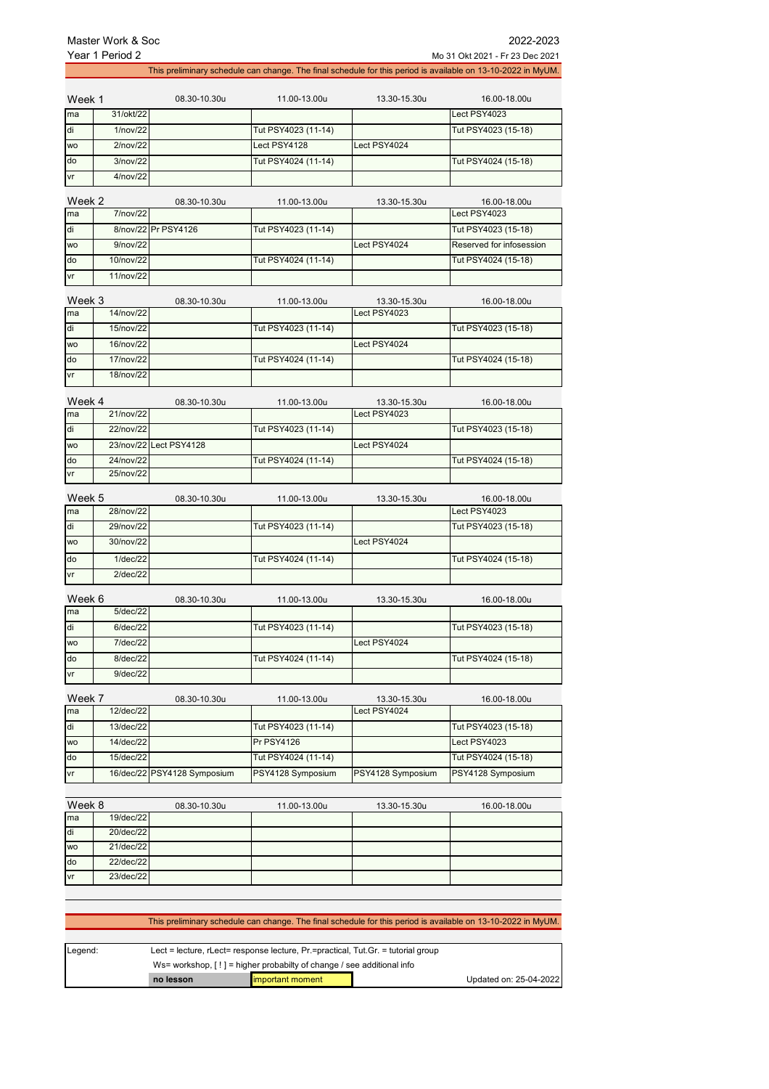do 22/dec/22 vr 23/dec/22

J.

1

| 2022-2023<br>Master Work & Soc                     |              |                             |                     |                              |                                                                                                              |  |
|----------------------------------------------------|--------------|-----------------------------|---------------------|------------------------------|--------------------------------------------------------------------------------------------------------------|--|
| Year 1 Period 2<br>Mo 31 Okt 2021 - Fr 23 Dec 2021 |              |                             |                     |                              |                                                                                                              |  |
|                                                    |              |                             |                     |                              | This preliminary schedule can change. The final schedule for this period is available on 13-10-2022 in MyUM. |  |
| Week 1                                             |              | 08.30-10.30u                | 11.00-13.00u        | 13.30-15.30u                 | 16.00-18.00u                                                                                                 |  |
| ma                                                 | 31/okt/22    |                             |                     |                              | Lect PSY4023                                                                                                 |  |
| di                                                 | 1/nov/22     |                             | Tut PSY4023 (11-14) |                              | Tut PSY4023 (15-18)                                                                                          |  |
| <b>WO</b>                                          | 2/nov/22     |                             | Lect PSY4128        | Lect PSY4024                 |                                                                                                              |  |
| $\overline{d\sigma}$                               | 3/nov/22     |                             | Tut PSY4024 (11-14) |                              | Tut PSY4024 (15-18)                                                                                          |  |
| vr                                                 | 4/nov/22     |                             |                     |                              |                                                                                                              |  |
| Week 2                                             |              | 08.30-10.30u                | 11.00-13.00u        | 13.30-15.30u                 | 16.00-18.00u                                                                                                 |  |
| ma                                                 | 7/nov/22     |                             |                     |                              | Lect PSY4023                                                                                                 |  |
| di                                                 |              | 8/nov/22 Pr PSY4126         | Tut PSY4023 (11-14) |                              | Tut PSY4023 (15-18)                                                                                          |  |
| wo                                                 | 9/nov/22     |                             |                     | Lect PSY4024                 | Reserved for infosession                                                                                     |  |
| do                                                 | 10/nov/22    |                             | Tut PSY4024 (11-14) |                              | Tut PSY4024 (15-18)                                                                                          |  |
| vr                                                 | 11/nov/22    |                             |                     |                              |                                                                                                              |  |
| Week 3                                             |              | 08.30-10.30u                | 11.00-13.00u        | 13.30-15.30u                 | 16.00-18.00u                                                                                                 |  |
| ma                                                 | $14$ /nov/22 |                             |                     | Lect PSY4023                 |                                                                                                              |  |
| di                                                 | 15/nov/22    |                             | Tut PSY4023 (11-14) |                              | Tut PSY4023 (15-18)                                                                                          |  |
| <b>WO</b>                                          | 16/nov/22    |                             |                     | Lect PSY4024                 |                                                                                                              |  |
| do                                                 | 17/nov/22    |                             | Tut PSY4024 (11-14) |                              | Tut PSY4024 (15-18)                                                                                          |  |
| vr                                                 | 18/nov/22    |                             |                     |                              |                                                                                                              |  |
| Week 4                                             |              | 08.30-10.30u                | 11.00-13.00u        | 13.30-15.30u                 | 16.00-18.00u                                                                                                 |  |
| ma                                                 | 21/nov/22    |                             |                     | Lect PSY4023                 |                                                                                                              |  |
| di                                                 | 22/nov/22    |                             | Tut PSY4023 (11-14) |                              | Tut PSY4023 (15-18)                                                                                          |  |
| <b>WO</b>                                          |              | 23/nov/22 Lect PSY4128      |                     | Lect PSY4024                 |                                                                                                              |  |
| do                                                 | 24/nov/22    |                             | Tut PSY4024 (11-14) |                              | Tut PSY4024 (15-18)                                                                                          |  |
| vr                                                 | 25/nov/22    |                             |                     |                              |                                                                                                              |  |
| Week 5                                             |              | 08.30-10.30u                | 11.00-13.00u        | 13.30-15.30u                 | 16.00-18.00u                                                                                                 |  |
| ma                                                 | 28/nov/22    |                             |                     |                              | Lect PSY4023                                                                                                 |  |
| di                                                 | 29/nov/22    |                             | Tut PSY4023 (11-14) |                              | Tut PSY4023 (15-18)                                                                                          |  |
| <b>WO</b>                                          | 30/nov/22    |                             |                     | Lect PSY4024                 |                                                                                                              |  |
| do                                                 | 1/dec/22     |                             | Tut PSY4024 (11-14) |                              | Tut PSY4024 (15-18)                                                                                          |  |
| vr                                                 | $2$ /dec/22  |                             |                     |                              |                                                                                                              |  |
|                                                    |              |                             |                     |                              |                                                                                                              |  |
| Week 6<br>ma                                       | 5/dec/22     | 08.30-10.30u                | 11.00-13.00u        | 13.30-15.30u                 | 16.00-18.00u                                                                                                 |  |
| di                                                 | 6/dec/22     |                             | Tut PSY4023 (11-14) |                              | Tut PSY4023 (15-18)                                                                                          |  |
| WO                                                 | 7/dec/22     |                             |                     | Lect PSY4024                 |                                                                                                              |  |
| do                                                 | 8/dec/22     |                             | Tut PSY4024 (11-14) |                              | Tut PSY4024 (15-18)                                                                                          |  |
| vr                                                 | 9/dec/22     |                             |                     |                              |                                                                                                              |  |
|                                                    |              |                             |                     |                              |                                                                                                              |  |
| Week 7<br>ma                                       | 12/dec/22    | 08.30-10.30u                | 11.00-13.00u        | 13.30-15.30u<br>Lect PSY4024 | 16.00-18.00u                                                                                                 |  |
| di                                                 | 13/dec/22    |                             | Tut PSY4023 (11-14) |                              | Tut PSY4023 (15-18)                                                                                          |  |
| WO                                                 | 14/dec/22    |                             | Pr PSY4126          |                              | Lect PSY4023                                                                                                 |  |
| do                                                 | 15/dec/22    |                             | Tut PSY4024 (11-14) |                              | Tut PSY4024 (15-18)                                                                                          |  |
| vr                                                 |              | 16/dec/22 PSY4128 Symposium | PSY4128 Symposium   | PSY4128 Symposium            | PSY4128 Symposium                                                                                            |  |
|                                                    |              |                             |                     |                              |                                                                                                              |  |
| Week 8                                             |              |                             |                     |                              |                                                                                                              |  |
| ma                                                 | 19/dec/22    | 08.30-10.30u                | 11.00-13.00u        | 13.30-15.30u                 | 16.00-18.00u                                                                                                 |  |
| di                                                 | 20/dec/22    |                             |                     |                              |                                                                                                              |  |
| WO                                                 | 21/dec/22    |                             |                     |                              |                                                                                                              |  |

|         |                                                                                  |                  | This preliminary schedule can change. The final schedule for this period is available on 13-10-2022 in MyUM. |                        |
|---------|----------------------------------------------------------------------------------|------------------|--------------------------------------------------------------------------------------------------------------|------------------------|
|         |                                                                                  |                  |                                                                                                              |                        |
| Legend: | Lect = lecture, rLect= response lecture, Pr.=practical, Tut.Gr. = tutorial group |                  |                                                                                                              |                        |
|         | Ws= workshop, $[!]$ = higher probabilty of change / see additional info          |                  |                                                                                                              |                        |
|         | no lesson                                                                        | important moment |                                                                                                              | Updated on: 25-04-2022 |